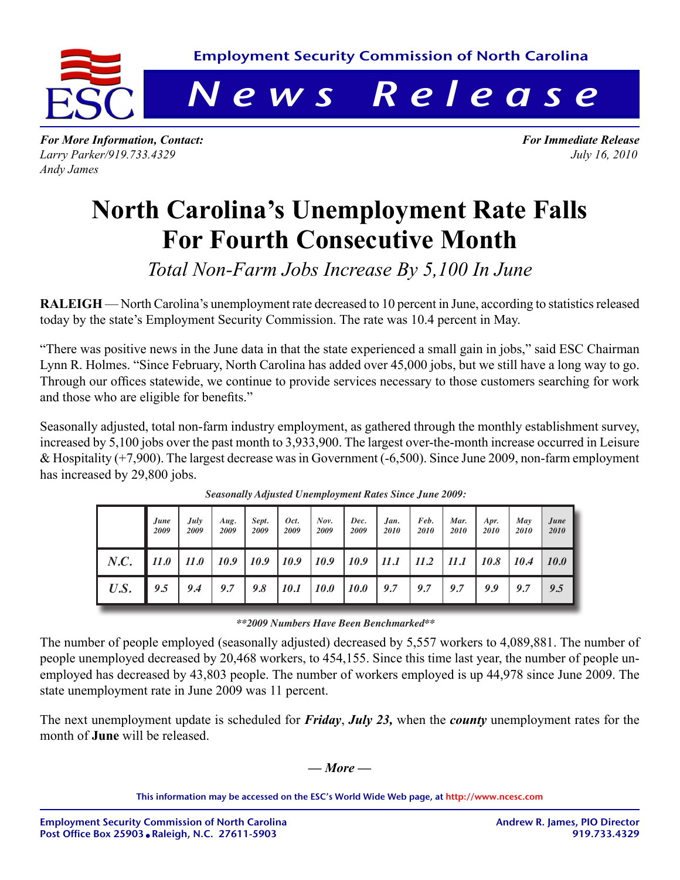

*For More Information, Contact: For Immediate Release Larry Parker/919.733.4329 July 16, 2010 Andy James*

## **North Carolina's Unemployment Rate Falls For Fourth Consecutive Month**

*Total Non-Farm Jobs Increase By 5,100 In June*

**RALEIGH** — North Carolina's unemployment rate decreased to 10 percent in June, according to statistics released today by the state's Employment Security Commission. The rate was 10.4 percent in May.

"There was positive news in the June data in that the state experienced a small gain in jobs," said ESC Chairman Lynn R. Holmes. "Since February, North Carolina has added over 45,000 jobs, but we still have a long way to go. Through our offices statewide, we continue to provide services necessary to those customers searching for work and those who are eligible for benefits."

Seasonally adjusted, total non-farm industry employment, as gathered through the monthly establishment survey, increased by 5,100 jobs over the past month to 3,933,900. The largest over-the-month increase occurred in Leisure & Hospitality (+7,900). The largest decrease was in Government (-6,500). Since June 2009, non-farm employment has increased by 29,800 jobs.

|      | June<br>2009 | July<br>2009 | Aug.<br>2009 | Sept.<br>2009 | Oct.<br>2009 | Now.<br>2009 | Dec.<br>2009 | Jan.<br>2010 | Feb.<br>2010 | Mar.<br>2010 | Apr.<br>2010 | May<br>2010 | June<br>2010 |
|------|--------------|--------------|--------------|---------------|--------------|--------------|--------------|--------------|--------------|--------------|--------------|-------------|--------------|
| N.C. | 11.0         | 11.0         | 10.9         | 10.9          | 10.9         | 10.9         | <i>10.9</i>  | 11.1         | 11.2         | 11.1         | <i>10.8</i>  | <i>10.4</i> | <b>10.0</b>  |
| U.S. | 9.5          | 9.4          | 9.7          | 9.8           | <i>10.1</i>  | <i>10.0</i>  | <i>10.0</i>  | 9.7          | 9.7          | 9.7          | 9.9          | 9.7         | 9.5          |

*Seasonally Adjusted Unemployment Rates Since June 2009:*

#### *\*\*2009 Numbers Have Been Benchmarked\*\**

The number of people employed (seasonally adjusted) decreased by 5,557 workers to 4,089,881. The number of people unemployed decreased by 20,468 workers, to 454,155. Since this time last year, the number of people unemployed has decreased by 43,803 people. The number of workers employed is up 44,978 since June 2009. The state unemployment rate in June 2009 was 11 percent.

The next unemployment update is scheduled for *Friday*, *July 23,* when the *county* unemployment rates for the month of **June** will be released.

### *— More —*

This information may be accessed on the ESC's World Wide Web page, at http://www.ncesc.com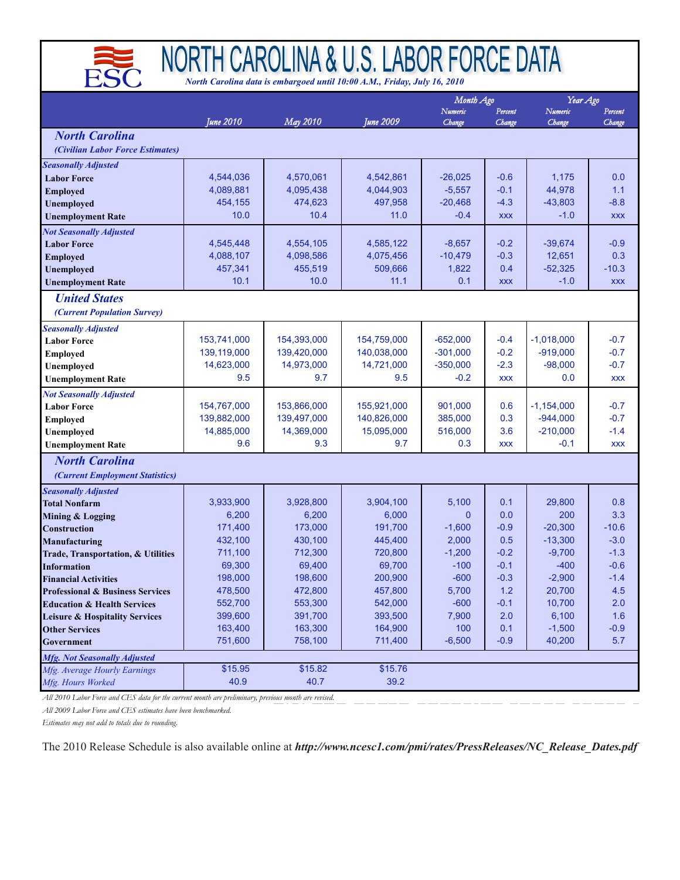

# NORTH CAROLINA & U.S. LABOR FORCE DATA

*North Carolina data is embargoed until 10:00 A.M., Friday, July 16, 2010*

|                                             |                           |                            |                            | Month Ago                |                  | Year Ago                   |                  |
|---------------------------------------------|---------------------------|----------------------------|----------------------------|--------------------------|------------------|----------------------------|------------------|
|                                             |                           |                            |                            | Numeric                  | Percent          | Numeric                    | Percent          |
| <b>North Carolina</b>                       | <b>June 2010</b>          | May 2010                   | <b>June 2009</b>           | Change                   | Change           | Change                     | Change           |
|                                             |                           |                            |                            |                          |                  |                            |                  |
| (Civilian Labor Force Estimates)            |                           |                            |                            |                          |                  |                            |                  |
| Seasonally Adjusted                         |                           |                            |                            |                          |                  |                            |                  |
| <b>Labor Force</b>                          | 4,544,036                 | 4,570,061                  | 4,542,861                  | $-26,025$                | $-0.6$           | 1,175                      | 0.0              |
| <b>Employed</b>                             | 4,089,881<br>454,155      | 4,095,438<br>474,623       | 4,044,903<br>497,958       | $-5,557$<br>$-20,468$    | $-0.1$<br>$-4.3$ | 44,978<br>$-43,803$        | 1.1<br>$-8.8$    |
| <b>Unemployed</b>                           | 10.0                      | 10.4                       | 11.0                       | $-0.4$                   | <b>XXX</b>       | $-1.0$                     | <b>XXX</b>       |
| <b>Unemployment Rate</b>                    |                           |                            |                            |                          |                  |                            |                  |
| <b>Not Seasonally Adjusted</b>              | 4,545,448                 | 4,554,105                  | 4,585,122                  | $-8,657$                 | $-0.2$           | $-39,674$                  | $-0.9$           |
| <b>Labor Force</b><br><b>Employed</b>       | 4,088,107                 | 4,098,586                  | 4,075,456                  | $-10,479$                | $-0.3$           | 12,651                     | 0.3              |
| <b>Unemployed</b>                           | 457,341                   | 455,519                    | 509,666                    | 1,822                    | 0.4              | $-52,325$                  | $-10.3$          |
| <b>Unemployment Rate</b>                    | 10.1                      | 10.0                       | 11.1                       | 0.1                      | <b>XXX</b>       | $-1.0$                     | <b>XXX</b>       |
| <b>United States</b>                        |                           |                            |                            |                          |                  |                            |                  |
|                                             |                           |                            |                            |                          |                  |                            |                  |
| (Current Population Survey)                 |                           |                            |                            |                          |                  |                            |                  |
| <b>Seasonally Adjusted</b>                  |                           |                            |                            |                          |                  |                            |                  |
| <b>Labor Force</b>                          | 153,741,000               | 154,393,000                | 154,759,000                | $-652,000$<br>$-301.000$ | $-0.4$           | $-1,018,000$               | $-0.7$<br>$-0.7$ |
| <b>Employed</b>                             | 139,119,000<br>14,623,000 | 139,420,000<br>14,973,000  | 140,038,000<br>14,721,000  | $-350,000$               | $-0.2$<br>$-2.3$ | $-919,000$<br>$-98,000$    | $-0.7$           |
| Unemployed                                  | 9.5                       | 9.7                        | 9.5                        | $-0.2$                   | <b>XXX</b>       | 0.0                        | <b>XXX</b>       |
| <b>Unemployment Rate</b>                    |                           |                            |                            |                          |                  |                            |                  |
| <b>Not Seasonally Adjusted</b>              | 154.767.000               |                            |                            |                          |                  |                            |                  |
| <b>Labor Force</b>                          | 139,882,000               | 153,866,000<br>139,497,000 | 155,921,000<br>140,826,000 | 901,000<br>385,000       | 0.6<br>0.3       | $-1,154,000$<br>$-944,000$ | $-0.7$<br>$-0.7$ |
| <b>Employed</b><br>Unemployed               | 14,885,000                | 14,369,000                 | 15,095,000                 | 516,000                  | 3.6              | $-210,000$                 | $-1.4$           |
| <b>Unemployment Rate</b>                    | 9.6                       | 9.3                        | 9.7                        | 0.3                      | <b>XXX</b>       | $-0.1$                     | <b>XXX</b>       |
|                                             |                           |                            |                            |                          |                  |                            |                  |
| <b>North Carolina</b>                       |                           |                            |                            |                          |                  |                            |                  |
| (Current Employment Statistics)             |                           |                            |                            |                          |                  |                            |                  |
| <b>Seasonally Adjusted</b>                  |                           |                            |                            |                          |                  |                            |                  |
| <b>Total Nonfarm</b>                        | 3,933,900<br>6,200        | 3,928,800<br>6,200         | 3,904,100<br>6,000         | 5,100<br>$\mathbf{0}$    | 0.1<br>0.0       | 29,800<br>200              | 0.8<br>3.3       |
| Mining & Logging<br><b>Construction</b>     | 171,400                   | 173,000                    | 191,700                    | $-1,600$                 | $-0.9$           | $-20,300$                  | $-10.6$          |
| Manufacturing                               | 432,100                   | 430,100                    | 445,400                    | 2,000                    | 0.5              | $-13,300$                  | $-3.0$           |
| Trade, Transportation, & Utilities          | 711,100                   | 712,300                    | 720,800                    | $-1,200$                 | $-0.2$           | $-9,700$                   | $-1.3$           |
| <b>Information</b>                          | 69,300                    | 69,400                     | 69,700                     | $-100$                   | $-0.1$           | $-400$                     | $-0.6$           |
| <b>Financial Activities</b>                 | 198,000                   | 198,600                    | 200,900                    | $-600$                   | $-0.3$           | $-2,900$                   | $-1.4$           |
| <b>Professional &amp; Business Services</b> | 478,500                   | 472,800                    | 457,800                    | 5,700                    | $1.2$            | 20,700                     | 4.5              |
| <b>Education &amp; Health Services</b>      | 552,700                   | 553,300                    | 542,000                    | $-600$                   | $-0.1$           | 10,700                     | 2.0              |
| <b>Leisure &amp; Hospitality Services</b>   | 399,600                   | 391,700                    | 393,500                    | 7,900                    | 2.0              | 6,100                      | 1.6              |
| <b>Other Services</b>                       | 163,400                   | 163,300                    | 164,900                    | 100                      | 0.1              | $-1,500$                   | $-0.9$           |
| Government                                  | 751,600                   | 758.100                    | 711,400                    | $-6,500$                 | $-0.9$           | 40,200                     | 5.7              |
| <b>Mfg. Not Seasonally Adjusted</b>         |                           |                            |                            |                          |                  |                            |                  |
| Mfg. Average Hourly Earnings                | \$15.95                   | \$15.82                    | \$15.76                    |                          |                  |                            |                  |
| Mfg. Hours Worked                           | 40.9                      | 40.7                       | 39.2                       |                          |                  |                            |                  |

*All 2010 Labor Force and CES data for the current month are preliminary, previous month are revised.*

*All 2009 Labor Force and CES estimates have been benchmarked.*

*Estimates may not add to totals due to rounding.*

The 2010 Release Schedule is also available online at *http://www.ncesc1.com/pmi/rates/PressReleases/NC\_Release\_Dates.pdf*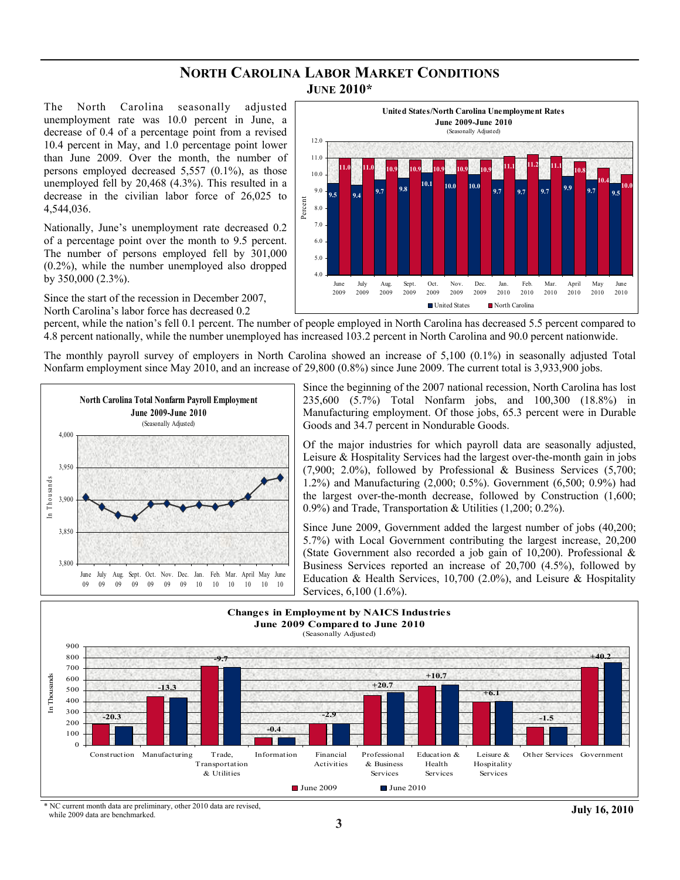#### **NORTH CAROLINA LABOR MARKET CONDITIONS JUNE 2010\***

The North Carolina seasonally adjusted unemployment rate was 10.0 percent in June, a decrease of 0.4 of a percentage point from a revised 10.4 percent in May, and 1.0 percentage point lower than June 2009. Over the month, the number of persons employed decreased 5,557 (0.1%), as those unemployed fell by 20,468 (4.3%). This resulted in a decrease in the civilian labor force of 26,025 to 4,544,036.

Nationally, June's unemployment rate decreased 0.2 of a percentage point over the month to 9.5 percent. The number of persons employed fell by 301,000 (0.2%), while the number unemployed also dropped by 350,000 (2.3%).

Since the start of the recession in December 2007, North Carolina's labor force has decreased 0.2



percent, while the nation's fell 0.1 percent. The number of people employed in North Carolina has decreased 5.5 percent compared to 4.8 percent nationally, while the number unemployed has increased 103.2 percent in North Carolina and 90.0 percent nationwide.

The monthly payroll survey of employers in North Carolina showed an increase of 5,100 (0.1%) in seasonally adjusted Total Nonfarm employment since May 2010, and an increase of 29,800 (0.8%) since June 2009. The current total is 3,933,900 jobs.



Since the beginning of the 2007 national recession, North Carolina has lost 235,600 (5.7%) Total Nonfarm jobs, and 100,300 (18.8%) in Manufacturing employment. Of those jobs, 65.3 percent were in Durable Goods and 34.7 percent in Nondurable Goods.

Of the major industries for which payroll data are seasonally adjusted, Leisure & Hospitality Services had the largest over-the-month gain in jobs (7,900; 2.0%), followed by Professional & Business Services (5,700; 1.2%) and Manufacturing (2,000; 0.5%). Government (6,500; 0.9%) had the largest over-the-month decrease, followed by Construction (1,600; 0.9%) and Trade, Transportation & Utilities (1,200; 0.2%).

Since June 2009, Government added the largest number of jobs (40,200; 5.7%) with Local Government contributing the largest increase, 20,200 (State Government also recorded a job gain of 10,200). Professional & Business Services reported an increase of 20,700 (4.5%), followed by Education & Health Services, 10,700 (2.0%), and Leisure & Hospitality Services, 6,100 (1.6%).



NC current month data are preliminary, other 2010 data are revised, while 2009 data are benchmarked.